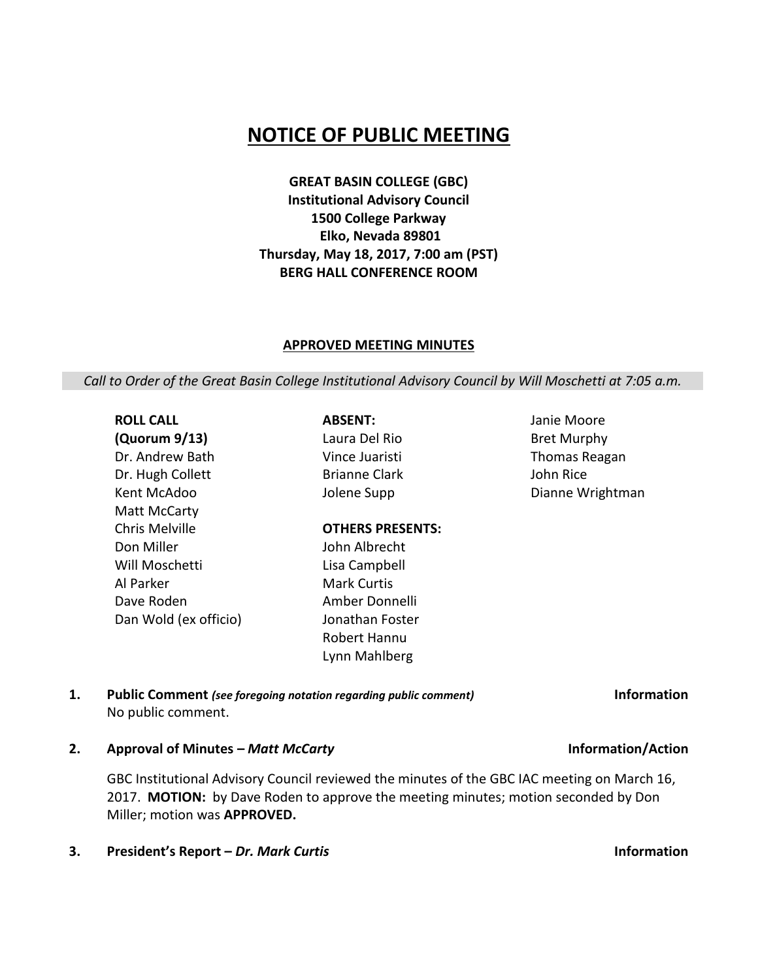## **NOTICE OF PUBLIC MEETING**

**GREAT BASIN COLLEGE (GBC) Institutional Advisory Council 1500 College Parkway Elko, Nevada 89801 Thursday, May 18, 2017, 7:00 am (PST) BERG HALL CONFERENCE ROOM**

#### **APPROVED MEETING MINUTES**

*Call to Order of the Great Basin College Institutional Advisory Council by Will Moschetti at 7:05 a.m.*

**ROLL CALL (Quorum 9/13)** Dr. Andrew Bath Dr. Hugh Collett Kent McAdoo Matt McCarty Chris Melville Don Miller Will Moschetti Al Parker Dave Roden Dan Wold (ex officio)

**ABSENT:** Laura Del Rio Vince Juaristi Brianne Clark Jolene Supp

**OTHERS PRESENTS:**

John Albrecht Lisa Campbell Mark Curtis Amber Donnelli Jonathan Foster Janie Moore Bret Murphy Thomas Reagan John Rice Dianne Wrightman

Robert Hannu Lynn Mahlberg **1. Public Comment** *(see foregoing notation regarding public comment)* **Information** No public comment.

**2. Approval of Minutes –** *Matt McCarty* **Information/Action**

GBC Institutional Advisory Council reviewed the minutes of the GBC IAC meeting on March 16, 2017. **MOTION:** by Dave Roden to approve the meeting minutes; motion seconded by Don Miller; motion was **APPROVED.**

**3. President's Report –** *Dr. Mark Curtis* **Information**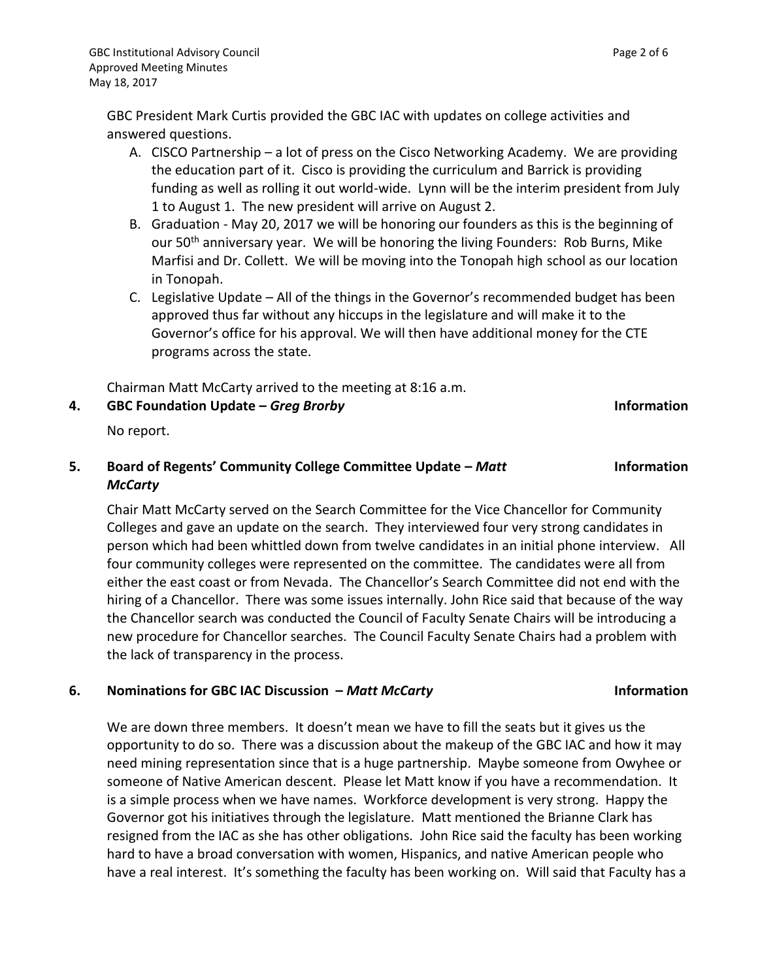GBC President Mark Curtis provided the GBC IAC with updates on college activities and answered questions.

- A. CISCO Partnership a lot of press on the Cisco Networking Academy. We are providing the education part of it. Cisco is providing the curriculum and Barrick is providing funding as well as rolling it out world-wide. Lynn will be the interim president from July 1 to August 1. The new president will arrive on August 2.
- B. Graduation May 20, 2017 we will be honoring our founders as this is the beginning of our 50<sup>th</sup> anniversary year. We will be honoring the living Founders: Rob Burns, Mike Marfisi and Dr. Collett. We will be moving into the Tonopah high school as our location in Tonopah.
- C. Legislative Update All of the things in the Governor's recommended budget has been approved thus far without any hiccups in the legislature and will make it to the Governor's office for his approval. We will then have additional money for the CTE programs across the state.

Chairman Matt McCarty arrived to the meeting at 8:16 a.m.

**4. GBC Foundation Update –** *Greg Brorby* **Information**

No report.

### **5. Board of Regents' Community College Committee Update –** *Matt McCarty*

Chair Matt McCarty served on the Search Committee for the Vice Chancellor for Community Colleges and gave an update on the search. They interviewed four very strong candidates in person which had been whittled down from twelve candidates in an initial phone interview. All four community colleges were represented on the committee. The candidates were all from either the east coast or from Nevada. The Chancellor's Search Committee did not end with the hiring of a Chancellor. There was some issues internally. John Rice said that because of the way the Chancellor search was conducted the Council of Faculty Senate Chairs will be introducing a new procedure for Chancellor searches. The Council Faculty Senate Chairs had a problem with the lack of transparency in the process.

### **6. Nominations for GBC IAC Discussion –** *Matt McCarty* **Information**

We are down three members. It doesn't mean we have to fill the seats but it gives us the opportunity to do so. There was a discussion about the makeup of the GBC IAC and how it may need mining representation since that is a huge partnership. Maybe someone from Owyhee or someone of Native American descent. Please let Matt know if you have a recommendation. It is a simple process when we have names. Workforce development is very strong. Happy the Governor got his initiatives through the legislature. Matt mentioned the Brianne Clark has resigned from the IAC as she has other obligations. John Rice said the faculty has been working hard to have a broad conversation with women, Hispanics, and native American people who have a real interest. It's something the faculty has been working on. Will said that Faculty has a

# **Information**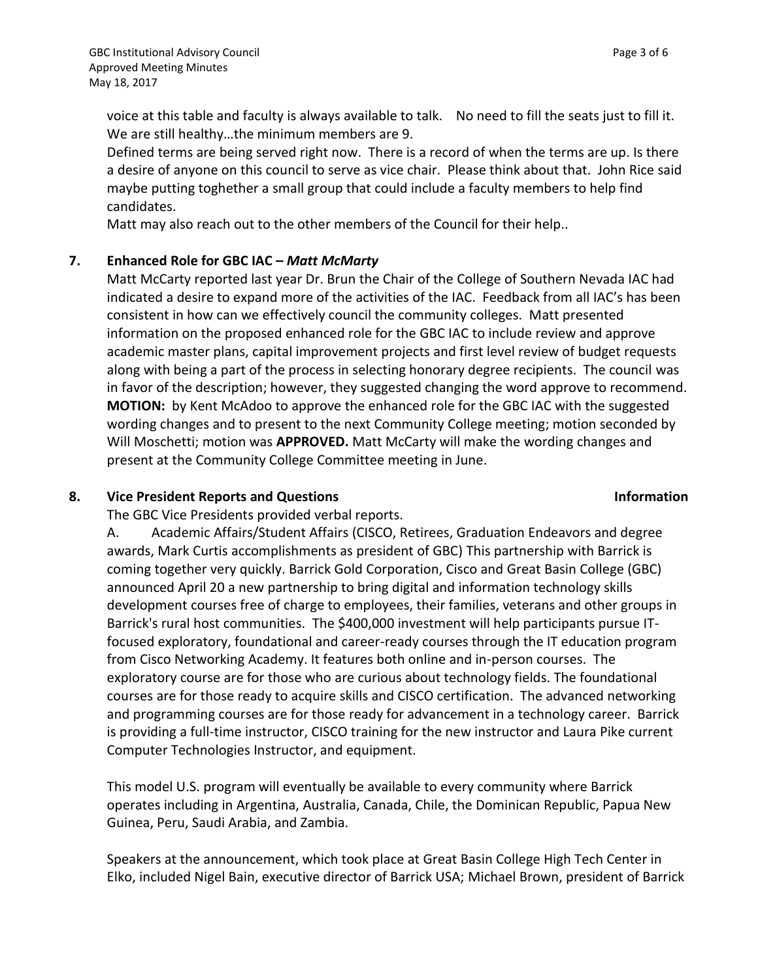voice at this table and faculty is always available to talk. No need to fill the seats just to fill it. We are still healthy…the minimum members are 9.

Defined terms are being served right now. There is a record of when the terms are up. Is there a desire of anyone on this council to serve as vice chair. Please think about that. John Rice said maybe putting toghether a small group that could include a faculty members to help find candidates.

Matt may also reach out to the other members of the Council for their help..

### **7. Enhanced Role for GBC IAC –** *Matt McMarty*

Matt McCarty reported last year Dr. Brun the Chair of the College of Southern Nevada IAC had indicated a desire to expand more of the activities of the IAC. Feedback from all IAC's has been consistent in how can we effectively council the community colleges. Matt presented information on the proposed enhanced role for the GBC IAC to include review and approve academic master plans, capital improvement projects and first level review of budget requests along with being a part of the process in selecting honorary degree recipients. The council was in favor of the description; however, they suggested changing the word approve to recommend. **MOTION:** by Kent McAdoo to approve the enhanced role for the GBC IAC with the suggested wording changes and to present to the next Community College meeting; motion seconded by Will Moschetti; motion was **APPROVED.** Matt McCarty will make the wording changes and present at the Community College Committee meeting in June.

### **8. Vice President Reports and Questions Information**

The GBC Vice Presidents provided verbal reports.

A. Academic Affairs/Student Affairs (CISCO, Retirees, Graduation Endeavors and degree awards, Mark Curtis accomplishments as president of GBC) This partnership with Barrick is coming together very quickly. Barrick Gold Corporation, Cisco and Great Basin College (GBC) announced April 20 a new partnership to bring digital and information technology skills development courses free of charge to employees, their families, veterans and other groups in Barrick's rural host communities. The \$400,000 investment will help participants pursue ITfocused exploratory, foundational and career-ready courses through the IT education program from Cisco Networking Academy. It features both online and in-person courses. The exploratory course are for those who are curious about technology fields. The foundational courses are for those ready to acquire skills and CISCO certification. The advanced networking and programming courses are for those ready for advancement in a technology career. Barrick is providing a full-time instructor, CISCO training for the new instructor and Laura Pike current Computer Technologies Instructor, and equipment.

This model U.S. program will eventually be available to every community where Barrick operates including in Argentina, Australia, Canada, Chile, the Dominican Republic, Papua New Guinea, Peru, Saudi Arabia, and Zambia.

Speakers at the announcement, which took place at Great Basin College High Tech Center in Elko, included Nigel Bain, executive director of Barrick USA; Michael Brown, president of Barrick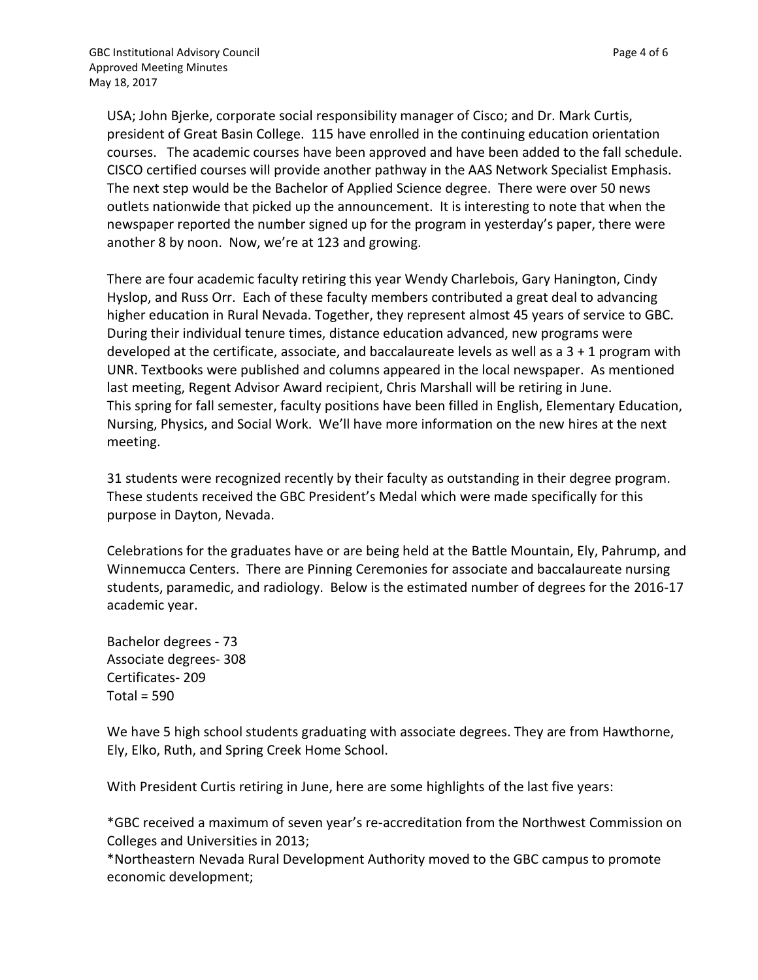USA; John Bjerke, corporate social responsibility manager of Cisco; and Dr. Mark Curtis, president of Great Basin College. 115 have enrolled in the continuing education orientation courses. The academic courses have been approved and have been added to the fall schedule. CISCO certified courses will provide another pathway in the AAS Network Specialist Emphasis. The next step would be the Bachelor of Applied Science degree. There were over 50 news outlets nationwide that picked up the announcement. It is interesting to note that when the newspaper reported the number signed up for the program in yesterday's paper, there were another 8 by noon. Now, we're at 123 and growing.

There are four academic faculty retiring this year Wendy Charlebois, Gary Hanington, Cindy Hyslop, and Russ Orr. Each of these faculty members contributed a great deal to advancing higher education in Rural Nevada. Together, they represent almost 45 years of service to GBC. During their individual tenure times, distance education advanced, new programs were developed at the certificate, associate, and baccalaureate levels as well as a  $3 + 1$  program with UNR. Textbooks were published and columns appeared in the local newspaper. As mentioned last meeting, Regent Advisor Award recipient, Chris Marshall will be retiring in June. This spring for fall semester, faculty positions have been filled in English, Elementary Education, Nursing, Physics, and Social Work. We'll have more information on the new hires at the next meeting.

31 students were recognized recently by their faculty as outstanding in their degree program. These students received the GBC President's Medal which were made specifically for this purpose in Dayton, Nevada.

Celebrations for the graduates have or are being held at the Battle Mountain, Ely, Pahrump, and Winnemucca Centers. There are Pinning Ceremonies for associate and baccalaureate nursing students, paramedic, and radiology. Below is the estimated number of degrees for the 2016-17 academic year.

Bachelor degrees - 73 Associate degrees- 308 Certificates- 209  $Total = 590$ 

We have 5 high school students graduating with associate degrees. They are from Hawthorne, Ely, Elko, Ruth, and Spring Creek Home School.

With President Curtis retiring in June, here are some highlights of the last five years:

\*GBC received a maximum of seven year's re-accreditation from the Northwest Commission on Colleges and Universities in 2013;

\*Northeastern Nevada Rural Development Authority moved to the GBC campus to promote economic development;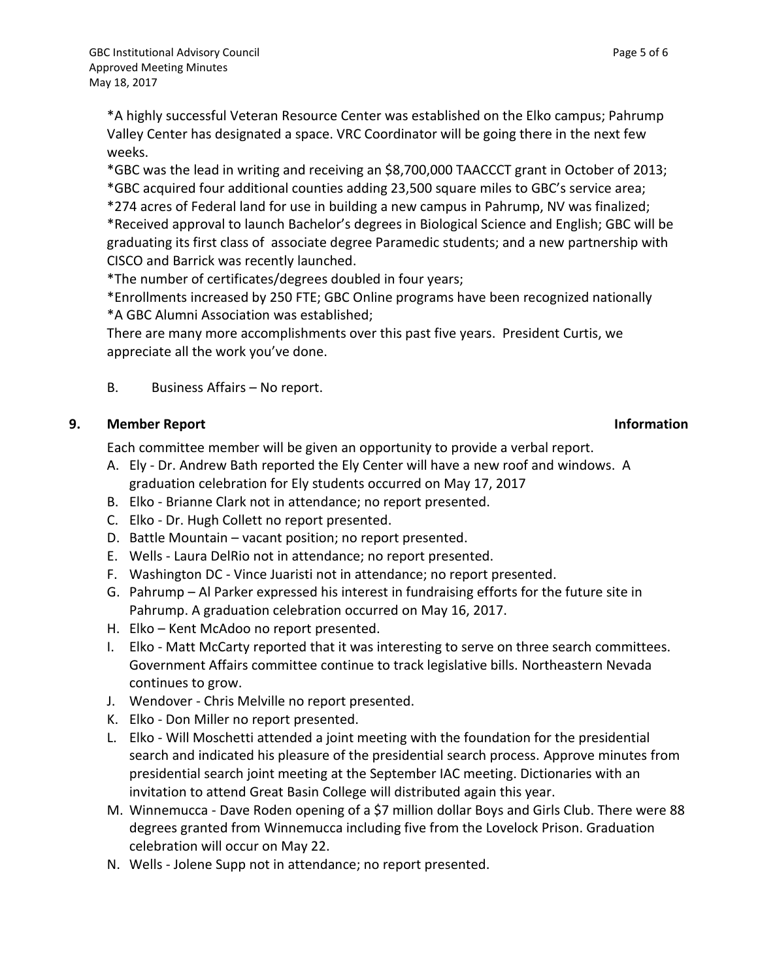\*A highly successful Veteran Resource Center was established on the Elko campus; Pahrump Valley Center has designated a space. VRC Coordinator will be going there in the next few weeks.

\*GBC was the lead in writing and receiving an \$8,700,000 TAACCCT grant in October of 2013; \*GBC acquired four additional counties adding 23,500 square miles to GBC's service area;

\*274 acres of Federal land for use in building a new campus in Pahrump, NV was finalized; \*Received approval to launch Bachelor's degrees in Biological Science and English; GBC will be graduating its first class of associate degree Paramedic students; and a new partnership with CISCO and Barrick was recently launched.

\*The number of certificates/degrees doubled in four years;

\*Enrollments increased by 250 FTE; GBC Online programs have been recognized nationally \*A GBC Alumni Association was established;

There are many more accomplishments over this past five years. President Curtis, we appreciate all the work you've done.

B. Business Affairs – No report.

### **9. Member Report Information**

Each committee member will be given an opportunity to provide a verbal report.

- A. Ely Dr. Andrew Bath reported the Ely Center will have a new roof and windows. A graduation celebration for Ely students occurred on May 17, 2017
- B. Elko Brianne Clark not in attendance; no report presented.
- C. Elko Dr. Hugh Collett no report presented.
- D. Battle Mountain vacant position; no report presented.
- E. Wells Laura DelRio not in attendance; no report presented.
- F. Washington DC Vince Juaristi not in attendance; no report presented.
- G. Pahrump Al Parker expressed his interest in fundraising efforts for the future site in Pahrump. A graduation celebration occurred on May 16, 2017.
- H. Elko Kent McAdoo no report presented.
- I. Elko Matt McCarty reported that it was interesting to serve on three search committees. Government Affairs committee continue to track legislative bills. Northeastern Nevada continues to grow.
- J. Wendover Chris Melville no report presented.
- K. Elko Don Miller no report presented.
- L. Elko Will Moschetti attended a joint meeting with the foundation for the presidential search and indicated his pleasure of the presidential search process. Approve minutes from presidential search joint meeting at the September IAC meeting. Dictionaries with an invitation to attend Great Basin College will distributed again this year.
- M. Winnemucca Dave Roden opening of a \$7 million dollar Boys and Girls Club. There were 88 degrees granted from Winnemucca including five from the Lovelock Prison. Graduation celebration will occur on May 22.
- N. Wells Jolene Supp not in attendance; no report presented.